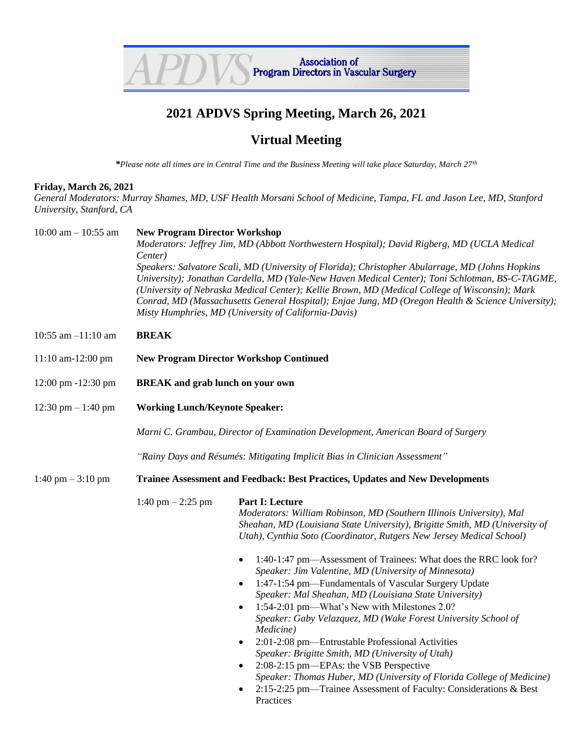

## **2021 APDVS Spring Meeting, March 26, 2021**

## **Virtual Meeting**

*\*Please note all times are in Central Time and the Business Meeting will take place Saturday, March 27th*

## **Friday, March 26, 2021**

*General Moderators: Murray Shames, MD, USF Health Morsani School of Medicine, Tampa, FL and Jason Lee, MD, Stanford University, Stanford, CA*

| 10:00 am $-$ 10:55 am | <b>New Program Director Workshop</b><br>Moderators: Jeffrey Jim, MD (Abbott Northwestern Hospital); David Rigberg, MD (UCLA Medical<br>Center)<br>Speakers: Salvatore Scali, MD (University of Florida); Christopher Abularrage, MD (Johns Hopkins<br>University); Jonathan Cardella, MD (Yale-New Haven Medical Center); Toni Schlotman, BS-C-TAGME,<br>(University of Nebraska Medical Center); Kellie Brown, MD (Medical College of Wisconsin); Mark<br>Conrad, MD (Massachusetts General Hospital); Enjae Jung, MD (Oregon Health & Science University);<br>Misty Humphries, MD (University of California-Davis) |                                                                                                                                                                                                                                                                                                                                                                                                                                                                                                                                                                                                                                                                                                                                                                                                                                                                                                                                                                                            |  |
|-----------------------|----------------------------------------------------------------------------------------------------------------------------------------------------------------------------------------------------------------------------------------------------------------------------------------------------------------------------------------------------------------------------------------------------------------------------------------------------------------------------------------------------------------------------------------------------------------------------------------------------------------------|--------------------------------------------------------------------------------------------------------------------------------------------------------------------------------------------------------------------------------------------------------------------------------------------------------------------------------------------------------------------------------------------------------------------------------------------------------------------------------------------------------------------------------------------------------------------------------------------------------------------------------------------------------------------------------------------------------------------------------------------------------------------------------------------------------------------------------------------------------------------------------------------------------------------------------------------------------------------------------------------|--|
| 10:55 am $-11:10$ am  | <b>BREAK</b>                                                                                                                                                                                                                                                                                                                                                                                                                                                                                                                                                                                                         |                                                                                                                                                                                                                                                                                                                                                                                                                                                                                                                                                                                                                                                                                                                                                                                                                                                                                                                                                                                            |  |
| 11:10 am-12:00 pm     | <b>New Program Director Workshop Continued</b>                                                                                                                                                                                                                                                                                                                                                                                                                                                                                                                                                                       |                                                                                                                                                                                                                                                                                                                                                                                                                                                                                                                                                                                                                                                                                                                                                                                                                                                                                                                                                                                            |  |
| 12:00 pm -12:30 pm    | <b>BREAK</b> and grab lunch on your own                                                                                                                                                                                                                                                                                                                                                                                                                                                                                                                                                                              |                                                                                                                                                                                                                                                                                                                                                                                                                                                                                                                                                                                                                                                                                                                                                                                                                                                                                                                                                                                            |  |
| 12:30 pm $-1:40$ pm   | <b>Working Lunch/Keynote Speaker:</b>                                                                                                                                                                                                                                                                                                                                                                                                                                                                                                                                                                                |                                                                                                                                                                                                                                                                                                                                                                                                                                                                                                                                                                                                                                                                                                                                                                                                                                                                                                                                                                                            |  |
|                       | Marni C. Grambau, Director of Examination Development, American Board of Surgery                                                                                                                                                                                                                                                                                                                                                                                                                                                                                                                                     |                                                                                                                                                                                                                                                                                                                                                                                                                                                                                                                                                                                                                                                                                                                                                                                                                                                                                                                                                                                            |  |
|                       | "Rainy Days and Résumés: Mitigating Implicit Bias in Clinician Assessment"                                                                                                                                                                                                                                                                                                                                                                                                                                                                                                                                           |                                                                                                                                                                                                                                                                                                                                                                                                                                                                                                                                                                                                                                                                                                                                                                                                                                                                                                                                                                                            |  |
| 1:40 pm $-$ 3:10 pm   | <b>Trainee Assessment and Feedback: Best Practices, Updates and New Developments</b>                                                                                                                                                                                                                                                                                                                                                                                                                                                                                                                                 |                                                                                                                                                                                                                                                                                                                                                                                                                                                                                                                                                                                                                                                                                                                                                                                                                                                                                                                                                                                            |  |
|                       | 1:40 pm $-$ 2:25 pm                                                                                                                                                                                                                                                                                                                                                                                                                                                                                                                                                                                                  | Part I: Lecture<br>Moderators: William Robinson, MD (Southern Illinois University), Mal<br>Sheahan, MD (Louisiana State University), Brigitte Smith, MD (University of<br>Utah), Cynthia Soto (Coordinator, Rutgers New Jersey Medical School)<br>1:40-1:47 pm-Assessment of Trainees: What does the RRC look for?<br>$\bullet$<br>Speaker: Jim Valentine, MD (University of Minnesota)<br>1:47-1:54 pm—Fundamentals of Vascular Surgery Update<br>$\bullet$<br>Speaker: Mal Sheahan, MD (Louisiana State University)<br>1:54-2:01 pm—What's New with Milestones 2.0?<br>Speaker: Gaby Velazquez, MD (Wake Forest University School of<br>Medicine)<br>2:01-2:08 pm-Entrustable Professional Activities<br>$\bullet$<br>Speaker: Brigitte Smith, MD (University of Utah)<br>2:08-2:15 pm-EPAs: the VSB Perspective<br>$\bullet$<br>Speaker: Thomas Huber, MD (University of Florida College of Medicine)<br>2:15-2:25 pm—Trainee Assessment of Faculty: Considerations & Best<br>Practices |  |